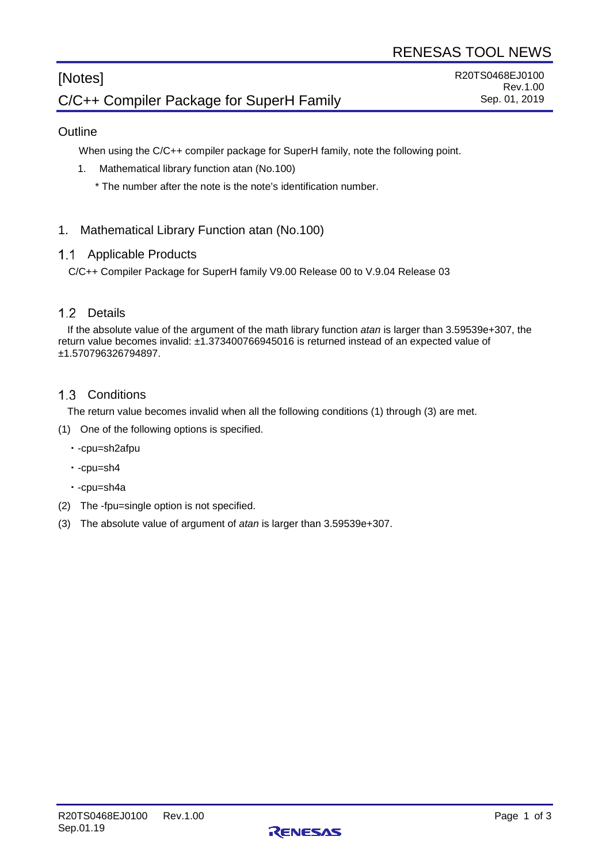# [Notes] C/C++ Compiler Package for SuperH Family

# **Outline**

When using the C/C++ compiler package for SuperH family, note the following point.

- 1. Mathematical library function atan (No.100)
	- \* The number after the note is the note's identification number.

# 1. Mathematical Library Function atan (No.100)

#### 1.1 Applicable Products

C/C++ Compiler Package for SuperH family V9.00 Release 00 to V.9.04 Release 03

# 1.2 Details

If the absolute value of the argument of the math library function *atan* is larger than 3.59539e+307, the return value becomes invalid: ±1.373400766945016 is returned instead of an expected value of ±1.570796326794897.

#### 1.3 Conditions

The return value becomes invalid when all the following conditions (1) through (3) are met.

- (1) One of the following options is specified.
	- ・-cpu=sh2afpu
	- ・-cpu=sh4
	- ・-cpu=sh4a
- (2) The -fpu=single option is not specified.
- (3) The absolute value of argument of *atan* is larger than 3.59539e+307.

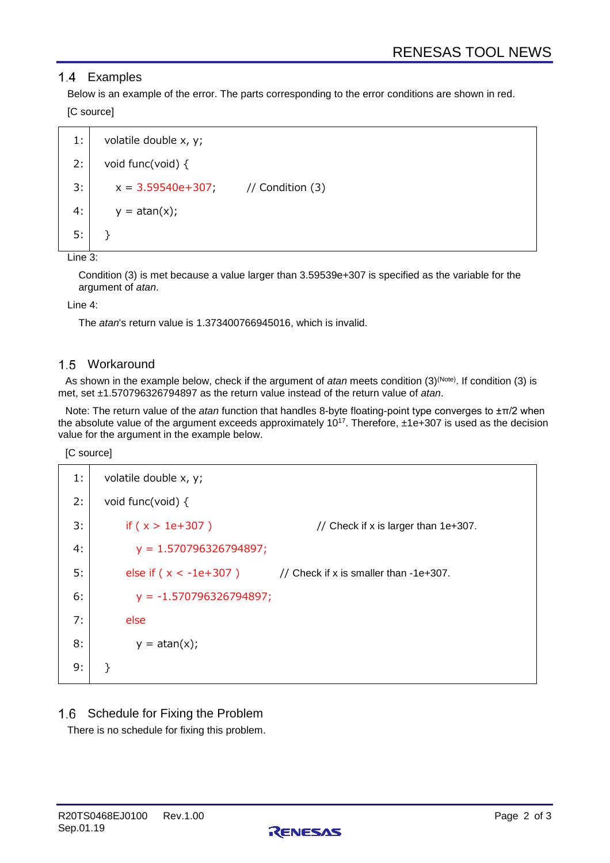# 1.4 Examples

Below is an example of the error. The parts corresponding to the error conditions are shown in red. [C source]

```
1:
2:
3:
4:
5:
      volatile double x, y;
      void func(void) {
        x = 3.59540e + 307; // Condition (3)
        y = \text{atan}(x);}
```
Line 3:

Condition (3) is met because a value larger than 3.59539e+307 is specified as the variable for the argument of *atan*.

#### Line 4:

The *atan*'s return value is 1.373400766945016, which is invalid.

# 1.5 Workaround

As shown in the example below, check if the argument of *atan* meets condition (3)<sup>(Note)</sup>. If condition (3) is met, set ±1.570796326794897 as the return value instead of the return value of *atan*.

Note: The return value of the *atan* function that handles 8-byte floating-point type converges to ±π/2 when the absolute value of the argument exceeds approximately  $10^{17}$ . Therefore,  $±1e+307$  is used as the decision value for the argument in the example below.

[C source]

| 1: | volatile double x, y;     |                                                                   |  |
|----|---------------------------|-------------------------------------------------------------------|--|
| 2: | void func(void) $\{$      |                                                                   |  |
| 3: | if ( $x > 1e+307$ )       | // Check if x is larger than $1e+307$ .                           |  |
| 4: | $y = 1.570796326794897;$  |                                                                   |  |
| 5: |                           | else if $(x < -1e+307)$ // Check if x is smaller than $-1e+307$ . |  |
| 6: | $y = -1.570796326794897;$ |                                                                   |  |
| 7: | else                      |                                                                   |  |
| 8: | $y = \text{atan}(x);$     |                                                                   |  |
| 9: | Ł                         |                                                                   |  |

1.6 Schedule for Fixing the Problem

There is no schedule for fixing this problem.